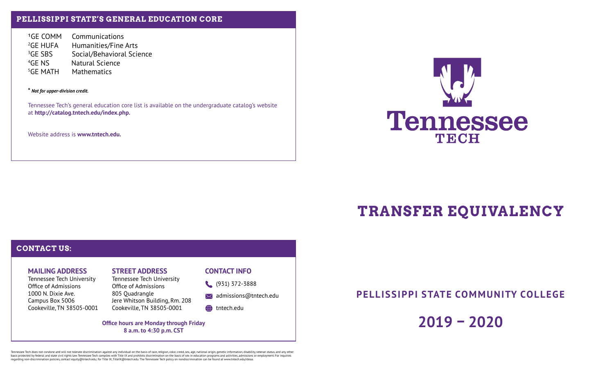## **PELLISSIPPI STATE'S GENERAL EDUCATION CORE**

1GE COMM Communications  $^2$ GF HUFA Humanities/Fine Arts  ${}^{3}GF$  SBS Social/Behavioral Science  $4GF$  NS Natural Science <sup>5</sup>GE MATH Mathematics

**\*** *Not for upper-division credit.*

Tennessee Tech's general education core list is available on the undergraduate catalog's website at **http://catalog.tntech.edu/index.php.**

Website address is **www.tntech.edu.**



## **TRANSFER EQUIVALENCY**

## **CONTACT US: MAILING ADDRESS** Tennessee Tech University Office of Admissions 1000 N. Dixie Ave. Campus Box 5006 Cookeville, TN 38505-0001 **STREET ADDRESS** Tennessee Tech University Office of Admissions 805 Quadrangle Jere Whitson Building, Rm. 208 Cookeville, TN 38505-0001 **CONTACT INFO** (931) 372-3888  $\bowtie$  admissions@tntech.edu **the the three than Office hours are Monday through Friday 8 a.m. to 4:30 p.m. CST**

**PELLISSIPPI STATE COMMUNITY COLLEGE**

**2019 – 2020**

Tennessee Tech does not condone and will not tolerate discrimination against any individual on the basis of race, religion, color, creed, sex, age, national origin, genetic information, disability, veteran status, and any basis protected by federal and state civil rights law. Tennessee Tech complies with Title IX and prohibits discrimination on the basis of sex in education programs and activities, admissions or employment. For inquiries regarding non-discrimination policies, contact equity@tntech.edu; for Title IX, TitleIX@tntech.edu. The Tennessee Tech policy on nondiscrimination can be found at www.tntech.edu/ideaa.